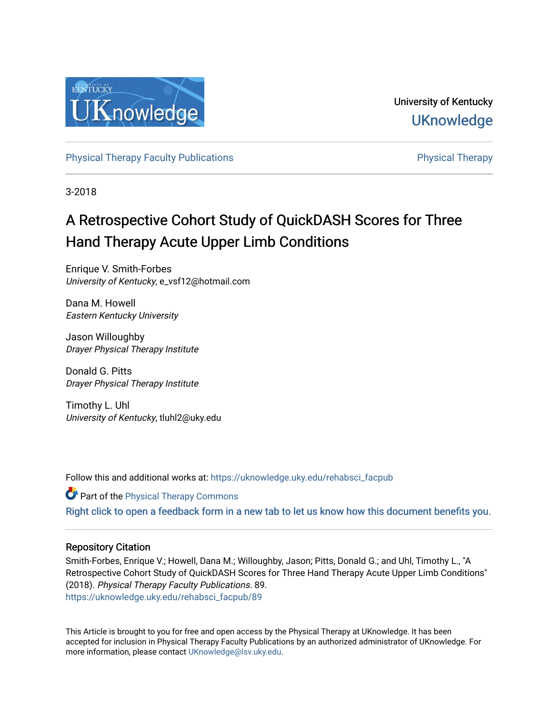

University of Kentucky **UKnowledge** 

[Physical Therapy Faculty Publications](https://uknowledge.uky.edu/rehabsci_facpub) **Physical Therapy** Physical Therapy

3-2018

# A Retrospective Cohort Study of QuickDASH Scores for Three Hand Therapy Acute Upper Limb Conditions

Enrique V. Smith-Forbes University of Kentucky, e\_vsf12@hotmail.com

Dana M. Howell Eastern Kentucky University

Jason Willoughby Drayer Physical Therapy Institute

Donald G. Pitts Drayer Physical Therapy Institute

Timothy L. Uhl University of Kentucky, tluhl2@uky.edu

Follow this and additional works at: [https://uknowledge.uky.edu/rehabsci\\_facpub](https://uknowledge.uky.edu/rehabsci_facpub?utm_source=uknowledge.uky.edu%2Frehabsci_facpub%2F89&utm_medium=PDF&utm_campaign=PDFCoverPages) 

**Part of the [Physical Therapy Commons](http://network.bepress.com/hgg/discipline/754?utm_source=uknowledge.uky.edu%2Frehabsci_facpub%2F89&utm_medium=PDF&utm_campaign=PDFCoverPages)** [Right click to open a feedback form in a new tab to let us know how this document benefits you.](https://uky.az1.qualtrics.com/jfe/form/SV_9mq8fx2GnONRfz7)

# Repository Citation

Smith-Forbes, Enrique V.; Howell, Dana M.; Willoughby, Jason; Pitts, Donald G.; and Uhl, Timothy L., "A Retrospective Cohort Study of QuickDASH Scores for Three Hand Therapy Acute Upper Limb Conditions" (2018). Physical Therapy Faculty Publications. 89. [https://uknowledge.uky.edu/rehabsci\\_facpub/89](https://uknowledge.uky.edu/rehabsci_facpub/89?utm_source=uknowledge.uky.edu%2Frehabsci_facpub%2F89&utm_medium=PDF&utm_campaign=PDFCoverPages)

This Article is brought to you for free and open access by the Physical Therapy at UKnowledge. It has been accepted for inclusion in Physical Therapy Faculty Publications by an authorized administrator of UKnowledge. For more information, please contact [UKnowledge@lsv.uky.edu](mailto:UKnowledge@lsv.uky.edu).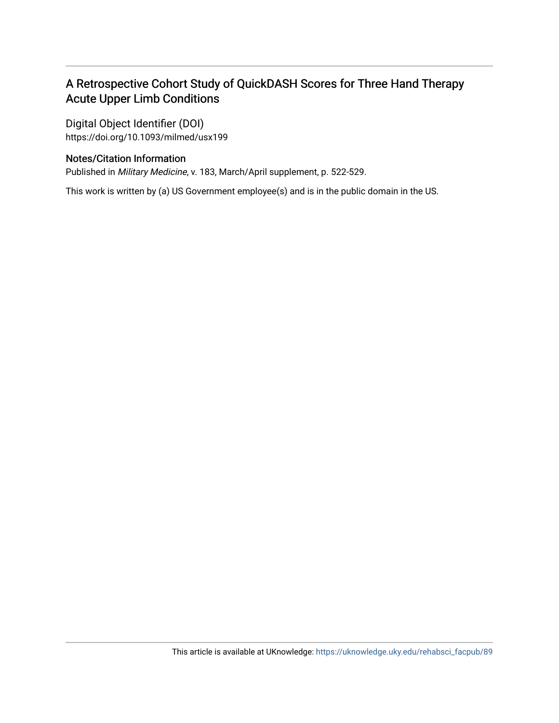# A Retrospective Cohort Study of QuickDASH Scores for Three Hand Therapy Acute Upper Limb Conditions

Digital Object Identifier (DOI) https://doi.org/10.1093/milmed/usx199

# Notes/Citation Information

Published in Military Medicine, v. 183, March/April supplement, p. 522-529.

This work is written by (a) US Government employee(s) and is in the public domain in the US.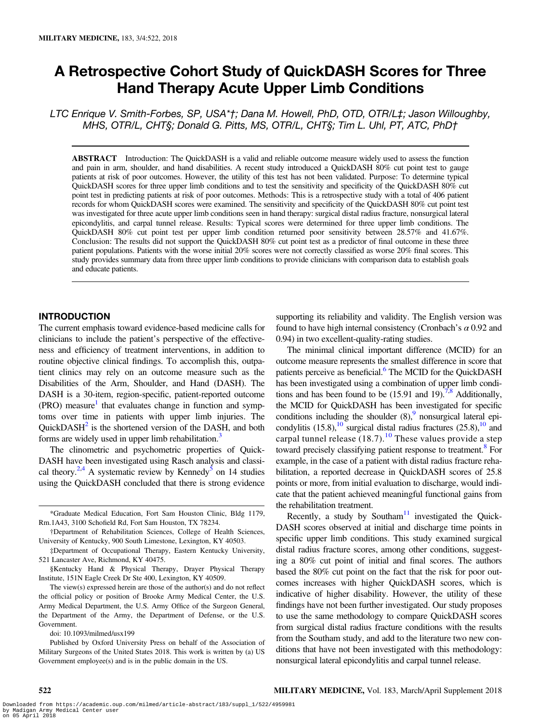# A Retrospective Cohort Study of QuickDASH Scores for Three Hand Therapy Acute Upper Limb Conditions

LTC Enrique V. Smith-Forbes, SP, USA\*†; Dana M. Howell, PhD, OTD, OTR/L‡; Jason Willoughby, MHS, OTR/L, CHT§; Donald G. Pitts, MS, OTR/L, CHT§; Tim L. Uhl, PT, ATC, PhD†

ABSTRACT Introduction: The QuickDASH is a valid and reliable outcome measure widely used to assess the function and pain in arm, shoulder, and hand disabilities. A recent study introduced a QuickDASH 80% cut point test to gauge patients at risk of poor outcomes. However, the utility of this test has not been validated. Purpose: To determine typical QuickDASH scores for three upper limb conditions and to test the sensitivity and specificity of the QuickDASH 80% cut point test in predicting patients at risk of poor outcomes. Methods: This is a retrospective study with a total of 406 patient records for whom QuickDASH scores were examined. The sensitivity and specificity of the QuickDASH 80% cut point test was investigated for three acute upper limb conditions seen in hand therapy: surgical distal radius fracture, nonsurgical lateral epicondylitis, and carpal tunnel release. Results: Typical scores were determined for three upper limb conditions. The QuickDASH 80% cut point test per upper limb condition returned poor sensitivity between 28.57% and 41.67%. Conclusion: The results did not support the QuickDASH 80% cut point test as a predictor of final outcome in these three patient populations. Patients with the worse initial 20% scores were not correctly classified as worse 20% final scores. This study provides summary data from three upper limb conditions to provide clinicians with comparison data to establish goals and educate patients.

#### INTRODUCTION

The current emphasis toward evidence-based medicine calls for clinicians to include the patient's perspective of the effectiveness and efficiency of treatment interventions, in addition to routine objective clinical findings. To accomplish this, outpatient clinics may rely on an outcome measure such as the Disabilities of the Arm, Shoulder, and Hand (DASH). The DASH is a 30-item, region-specific, patient-reported outcome  $(PRO)$  measure<sup>[1](#page-9-0)</sup> that evaluates change in function and symptoms over time in patients with upper limb injuries. The Quick $DASH<sup>2</sup>$  is the shortened version of the DASH, and both forms are widely used in upper limb rehabilitation.<sup>[3](#page-9-0)</sup>

The clinometric and psychometric properties of Quick-DASH have been investigated using Rasch analysis and classical theory.<sup>2,4</sup> A systematic review by Kennedy<sup>5</sup> on 14 studies using the QuickDASH concluded that there is strong evidence

doi: 10.1093/milmed/usx199

Published by Oxford University Press on behalf of the Association of Military Surgeons of the United States 2018. This work is written by (a) US Government employee(s) and is in the public domain in the US.

supporting its reliability and validity. The English version was found to have high internal consistency (Cronbach's  $\alpha$  0.92 and 0.94) in two excellent-quality-rating studies.

The minimal clinical important difference (MCID) for an outcome measure represents the smallest difference in score that patients perceive as beneficial.<sup>6</sup> The MCID for the QuickDASH has been investigated using a combination of upper limb conditions and has been found to be  $(15.91 \text{ and } 19)$ .<sup>7,8</sup> Additionally, the MCID for QuickDASH has been investigated for specific conditions including the shoulder  $(8)$ , nonsurgical lateral epicondylitis  $(15.8)$ ,<sup>[10](#page-9-0)</sup> surgical distal radius fractures  $(25.8)$ ,<sup>10</sup> and carpal tunnel release  $(18.7)$ .<sup>[10](#page-9-0)</sup> These values provide a step toward precisely classifying patient response to treatment.<sup>8</sup> For example, in the case of a patient with distal radius fracture rehabilitation, a reported decrease in QuickDASH scores of 25.8 points or more, from initial evaluation to discharge, would indicate that the patient achieved meaningful functional gains from the rehabilitation treatment.

Recently, a study by Southam $11$  investigated the Quick-DASH scores observed at initial and discharge time points in specific upper limb conditions. This study examined surgical distal radius fracture scores, among other conditions, suggesting a 80% cut point of initial and final scores. The authors based the 80% cut point on the fact that the risk for poor outcomes increases with higher QuickDASH scores, which is indicative of higher disability. However, the utility of these findings have not been further investigated. Our study proposes to use the same methodology to compare QuickDASH scores from surgical distal radius fracture conditions with the results from the Southam study, and add to the literature two new conditions that have not been investigated with this methodology: nonsurgical lateral epicondylitis and carpal tunnel release.

<sup>\*</sup>Graduate Medical Education, Fort Sam Houston Clinic, Bldg 1179, Rm.1A43, 3100 Schofield Rd, Fort Sam Houston, TX 78234.

<sup>†</sup>Department of Rehabilitation Sciences, College of Health Sciences, University of Kentucky, 900 South Limestone, Lexington, KY 40503.

<sup>‡</sup>Department of Occupational Therapy, Eastern Kentucky University, 521 Lancaster Ave, Richmond, KY 40475.

<sup>§</sup>Kentucky Hand & Physical Therapy, Drayer Physical Therapy Institute, 151N Eagle Creek Dr Ste 400, Lexington, KY 40509.

The view(s) expressed herein are those of the author(s) and do not reflect the official policy or position of Brooke Army Medical Center, the U.S. Army Medical Department, the U.S. Army Office of the Surgeon General, the Department of the Army, the Department of Defense, or the U.S. Government.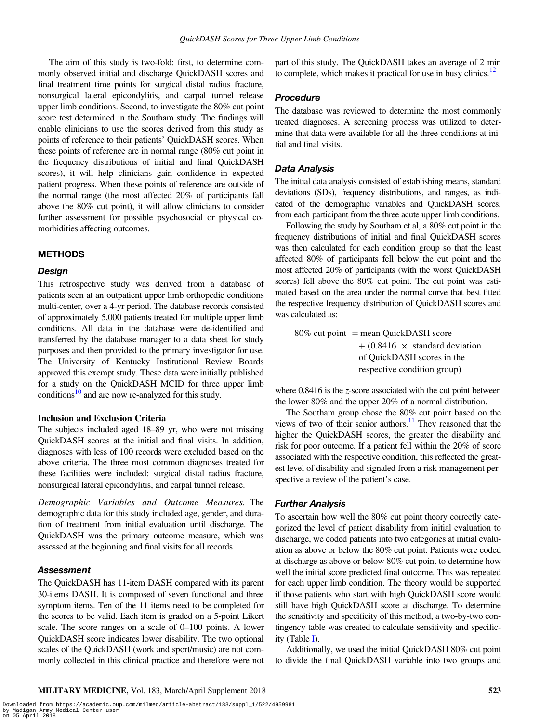The aim of this study is two-fold: first, to determine commonly observed initial and discharge QuickDASH scores and final treatment time points for surgical distal radius fracture, nonsurgical lateral epicondylitis, and carpal tunnel release upper limb conditions. Second, to investigate the 80% cut point score test determined in the Southam study. The findings will enable clinicians to use the scores derived from this study as points of reference to their patients' QuickDASH scores. When these points of reference are in normal range (80% cut point in the frequency distributions of initial and final QuickDASH scores), it will help clinicians gain confidence in expected patient progress. When these points of reference are outside of the normal range (the most affected 20% of participants fall above the 80% cut point), it will allow clinicians to consider further assessment for possible psychosocial or physical comorbidities affecting outcomes.

#### METHODS

#### Design

This retrospective study was derived from a database of patients seen at an outpatient upper limb orthopedic conditions multi-center, over a 4-yr period. The database records consisted of approximately 5,000 patients treated for multiple upper limb conditions. All data in the database were de-identified and transferred by the database manager to a data sheet for study purposes and then provided to the primary investigator for use. The University of Kentucky Institutional Review Boards approved this exempt study. These data were initially published for a study on the QuickDASH MCID for three upper limb conditions $10$  and are now re-analyzed for this study.

#### Inclusion and Exclusion Criteria

The subjects included aged 18–89 yr, who were not missing QuickDASH scores at the initial and final visits. In addition, diagnoses with less of 100 records were excluded based on the above criteria. The three most common diagnoses treated for these facilities were included: surgical distal radius fracture, nonsurgical lateral epicondylitis, and carpal tunnel release.

Demographic Variables and Outcome Measures. The demographic data for this study included age, gender, and duration of treatment from initial evaluation until discharge. The QuickDASH was the primary outcome measure, which was assessed at the beginning and final visits for all records.

#### Assessment

The QuickDASH has 11-item DASH compared with its parent 30-items DASH. It is composed of seven functional and three symptom items. Ten of the 11 items need to be completed for the scores to be valid. Each item is graded on a 5-point Likert scale. The score ranges on a scale of 0–100 points. A lower QuickDASH score indicates lower disability. The two optional scales of the QuickDASH (work and sport/music) are not commonly collected in this clinical practice and therefore were not

part of this study. The QuickDASH takes an average of 2 min to complete, which makes it practical for use in busy clinics.<sup>12</sup>

#### Procedure

The database was reviewed to determine the most commonly treated diagnoses. A screening process was utilized to determine that data were available for all the three conditions at initial and final visits.

#### Data Analysis

The initial data analysis consisted of establishing means, standard deviations (SDs), frequency distributions, and ranges, as indicated of the demographic variables and QuickDASH scores, from each participant from the three acute upper limb conditions.

Following the study by Southam et al, a 80% cut point in the frequency distributions of initial and final QuickDASH scores was then calculated for each condition group so that the least affected 80% of participants fell below the cut point and the most affected 20% of participants (with the worst QuickDASH scores) fell above the 80% cut point. The cut point was estimated based on the area under the normal curve that best fitted the respective frequency distribution of QuickDASH scores and was calculated as:

 $80\%$  cut point = mean QuickDASH score  $+$  (0.8416  $\times$  standard deviation of QuickDASH scores in the respective condition group)

where  $0.8416$  is the z-score associated with the cut point between the lower 80% and the upper 20% of a normal distribution.

The Southam group chose the 80% cut point based on the views of two of their senior authors.<sup>11</sup> They reasoned that the higher the QuickDASH scores, the greater the disability and risk for poor outcome. If a patient fell within the 20% of score associated with the respective condition, this reflected the greatest level of disability and signaled from a risk management perspective a review of the patient's case.

#### Further Analysis

To ascertain how well the 80% cut point theory correctly categorized the level of patient disability from initial evaluation to discharge, we coded patients into two categories at initial evaluation as above or below the 80% cut point. Patients were coded at discharge as above or below 80% cut point to determine how well the initial score predicted final outcome. This was repeated for each upper limb condition. The theory would be supported if those patients who start with high QuickDASH score would still have high QuickDASH score at discharge. To determine the sensitivity and specificity of this method, a two-by-two contingency table was created to calculate sensitivity and specificity (Table [I\)](#page-4-0).

Additionally, we used the initial QuickDASH 80% cut point to divide the final QuickDASH variable into two groups and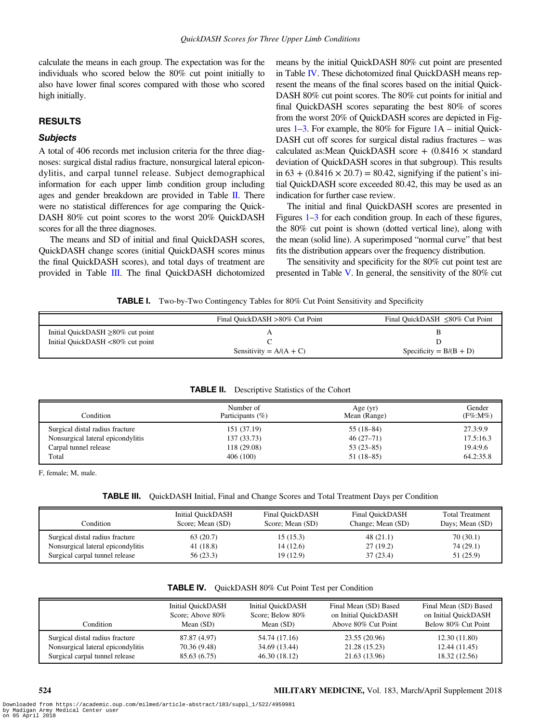<span id="page-4-0"></span>calculate the means in each group. The expectation was for the individuals who scored below the 80% cut point initially to also have lower final scores compared with those who scored high initially.

### RESULTS

#### **Subjects**

A total of 406 records met inclusion criteria for the three diagnoses: surgical distal radius fracture, nonsurgical lateral epicondylitis, and carpal tunnel release. Subject demographical information for each upper limb condition group including ages and gender breakdown are provided in Table II. There were no statistical differences for age comparing the Quick-DASH 80% cut point scores to the worst 20% QuickDASH scores for all the three diagnoses.

The means and SD of initial and final QuickDASH scores, QuickDASH change scores (initial QuickDASH scores minus the final QuickDASH scores), and total days of treatment are provided in Table III. The final QuickDASH dichotomized means by the initial QuickDASH 80% cut point are presented in Table IV. These dichotomized final QuickDASH means represent the means of the final scores based on the initial Quick-DASH 80% cut point scores. The 80% cut points for initial and final QuickDASH scores separating the best 80% of scores from the worst 20% of QuickDASH scores are depicted in Figures [1](#page-5-0)–[3](#page-7-0). For example, the 80% for Figure [1](#page-5-0)A – initial Quick-DASH cut off scores for surgical distal radius fractures – was calculated as: Mean QuickDASH score  $+$  (0.8416  $\times$  standard deviation of QuickDASH scores in that subgroup). This results in  $63 + (0.8416 \times 20.7) = 80.42$ , signifying if the patient's initial QuickDASH score exceeded 80.42, this may be used as an indication for further case review.

The initial and final QuickDASH scores are presented in Figures [1](#page-5-0)–[3](#page-7-0) for each condition group. In each of these figures, the 80% cut point is shown (dotted vertical line), along with the mean (solid line). A superimposed "normal curve" that best fits the distribution appears over the frequency distribution.

The sensitivity and specificity for the 80% cut point test are presented in Table [V](#page-8-0). In general, the sensitivity of the 80% cut

**TABLE I.** Two-by-Two Contingency Tables for 80% Cut Point Sensitivity and Specificity

|                                        | Final QuickDASH >80% Cut Point | Final QuickDASH $\leq 80\%$ Cut Point |
|----------------------------------------|--------------------------------|---------------------------------------|
| Initial QuickDASH $\geq$ 80% cut point |                                |                                       |
| Initial QuickDASH <80% cut point       |                                |                                       |
|                                        | Sensitivity = $A/(A + C)$      | Specificity = $B/(B + D)$             |

| Condition                         | Number of<br>Participants $(\% )$ | Age $(yr)$<br>Mean (Range) | Gender<br>$(F\% : M\%)$ |
|-----------------------------------|-----------------------------------|----------------------------|-------------------------|
| Surgical distal radius fracture   | 151 (37.19)                       | $55(18-84)$                | 27.3:9.9                |
| Nonsurgical lateral epicondylitis | 137(33.73)                        | $46(27-71)$                | 17.5:16.3               |
| Carpal tunnel release             | 118 (29.08)                       | $53(23-85)$                | 19.4:9.6                |
| Total                             | 406(100)                          | $51(18-85)$                | 64.2:35.8               |

#### TABLE II. Descriptive Statistics of the Cohort

F, female; M, male.

|  |  |  | TABLE III. QuickDASH Initial, Final and Change Scores and Total Treatment Days per Condition |
|--|--|--|----------------------------------------------------------------------------------------------|
|--|--|--|----------------------------------------------------------------------------------------------|

| Condition                         | Initial OuickDASH<br>Score; Mean (SD) | Final QuickDASH<br>Score; Mean (SD) | Final OuickDASH<br>Change; Mean (SD) | <b>Total Treatment</b><br>Days; Mean (SD) |
|-----------------------------------|---------------------------------------|-------------------------------------|--------------------------------------|-------------------------------------------|
| Surgical distal radius fracture   | 63(20.7)                              | 15(15.3)                            | 48(21.1)                             | 70(30.1)                                  |
| Nonsurgical lateral epicondylitis | 41(18.8)                              | 14 (12.6)                           | 27(19.2)                             | 74(29.1)                                  |
| Surgical carpal tunnel release    | 56(23.3)                              | 19 (12.9)                           | 37(23.4)                             | 51 (25.9)                                 |

| Condition                         | <b>Initial QuickDASH</b> | <b>Initial QuickDASH</b> | Final Mean (SD) Based | Final Mean (SD) Based |
|-----------------------------------|--------------------------|--------------------------|-----------------------|-----------------------|
|                                   | Score; Above 80%         | Score: Below 80%         | on Initial QuickDASH  | on Initial QuickDASH  |
|                                   | Mean $(SD)$              | Mean $(SD)$              | Above 80% Cut Point   | Below 80% Cut Point   |
| Surgical distal radius fracture   | 87.87 (4.97)             | 54.74 (17.16)            | 23.55 (20.96)         | 12.30(11.80)          |
| Nonsurgical lateral epicondylitis | 70.36 (9.48)             | 34.69 (13.44)            | 21.28 (15.23)         | 12.44 (11.45)         |
| Surgical carpal tunnel release    | 85.63 (6.75)             | 46.30 (18.12)            | 21.63 (13.96)         | 18.32 (12.56)         |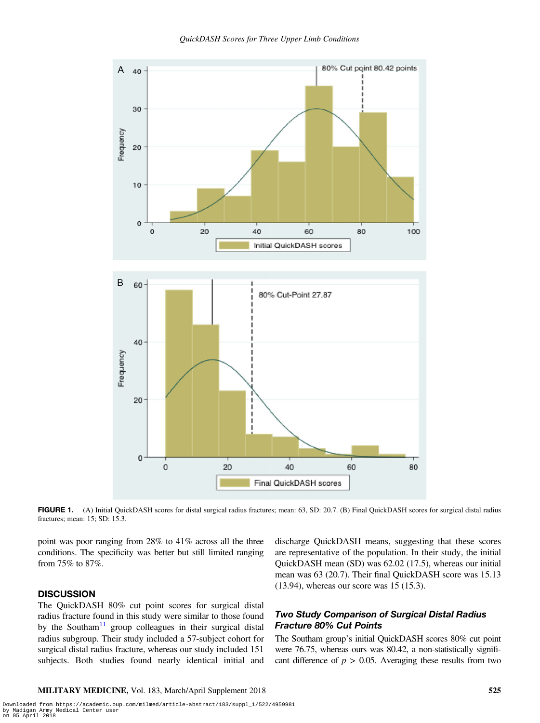<span id="page-5-0"></span>

FIGURE 1. (A) Initial QuickDASH scores for distal surgical radius fractures; mean: 63, SD: 20.7. (B) Final QuickDASH scores for surgical distal radius fractures; mean: 15; SD: 15.3.

point was poor ranging from 28% to 41% across all the three conditions. The specificity was better but still limited ranging from 75% to 87%.

#### **DISCUSSION**

The QuickDASH 80% cut point scores for surgical distal radius fracture found in this study were similar to those found by the Southam<sup>[11](#page-9-0)</sup> group colleagues in their surgical distal radius subgroup. Their study included a 57-subject cohort for surgical distal radius fracture, whereas our study included 151 subjects. Both studies found nearly identical initial and discharge QuickDASH means, suggesting that these scores are representative of the population. In their study, the initial QuickDASH mean (SD) was 62.02 (17.5), whereas our initial mean was 63 (20.7). Their final QuickDASH score was 15.13 (13.94), whereas our score was 15 (15.3).

#### Two Study Comparison of Surgical Distal Radius Fracture 80% Cut Points

The Southam group's initial QuickDASH scores 80% cut point were 76.75, whereas ours was 80.42, a non-statistically significant difference of  $p > 0.05$ . Averaging these results from two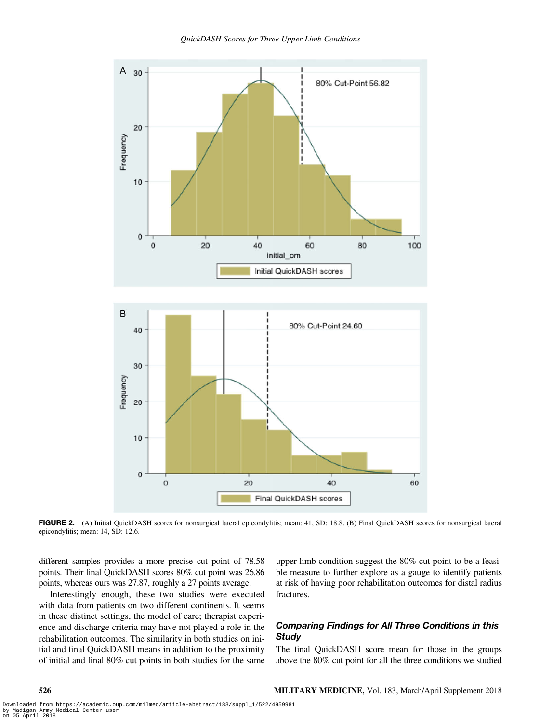

FIGURE 2. (A) Initial QuickDASH scores for nonsurgical lateral epicondylitis; mean: 41, SD: 18.8. (B) Final QuickDASH scores for nonsurgical lateral epicondylitis; mean: 14, SD: 12.6.

different samples provides a more precise cut point of 78.58 points. Their final QuickDASH scores 80% cut point was 26.86 points, whereas ours was 27.87, roughly a 27 points average.

Interestingly enough, these two studies were executed with data from patients on two different continents. It seems in these distinct settings, the model of care; therapist experience and discharge criteria may have not played a role in the rehabilitation outcomes. The similarity in both studies on initial and final QuickDASH means in addition to the proximity of initial and final 80% cut points in both studies for the same upper limb condition suggest the 80% cut point to be a feasible measure to further explore as a gauge to identify patients at risk of having poor rehabilitation outcomes for distal radius fractures.

### Comparing Findings for All Three Conditions in this **Study**

The final QuickDASH score mean for those in the groups above the 80% cut point for all the three conditions we studied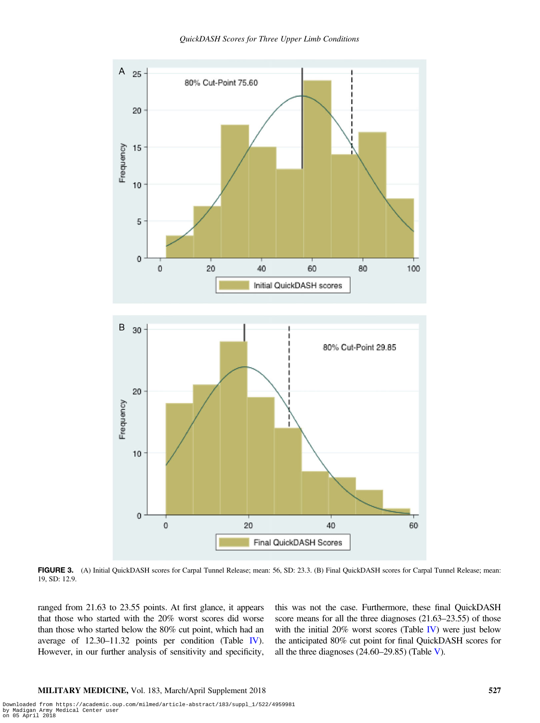<span id="page-7-0"></span>

FIGURE 3. (A) Initial QuickDASH scores for Carpal Tunnel Release; mean: 56, SD: 23.3. (B) Final QuickDASH scores for Carpal Tunnel Release; mean: 19, SD: 12.9.

ranged from 21.63 to 23.55 points. At first glance, it appears that those who started with the 20% worst scores did worse than those who started below the 80% cut point, which had an average of 12.30–11.32 points per condition (Table [IV](#page-4-0)). However, in our further analysis of sensitivity and specificity,

this was not the case. Furthermore, these final QuickDASH score means for all the three diagnoses  $(21.63-23.55)$  of those with the initial 20% worst scores (Table [IV\)](#page-4-0) were just below the anticipated 80% cut point for final QuickDASH scores for all the three diagnoses  $(24.60-29.85)$  (Table [V](#page-8-0)).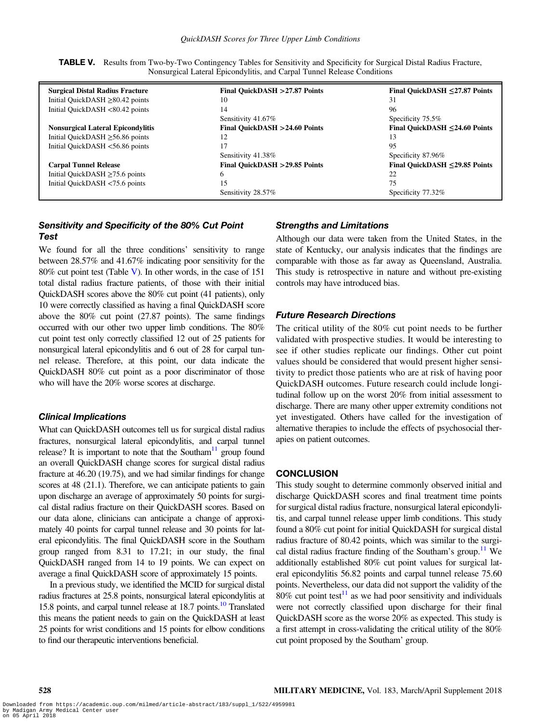| <b>Surgical Distal Radius Fracture</b>   | Final QuickDASH > 27.87 Points | Final QuickDASH $\leq$ 27.87 Points |
|------------------------------------------|--------------------------------|-------------------------------------|
| Initial QuickDASH $\geq$ 80.42 points    | 10                             | 31                                  |
| Initial QuickDASH <80.42 points          | 14                             | 96                                  |
|                                          | Sensitivity 41.67%             | Specificity 75.5%                   |
| <b>Nonsurgical Lateral Epicondylitis</b> | Final QuickDASH >24.60 Points  | Final QuickDASH $\leq$ 24.60 Points |
| Initial QuickDASH $\geq$ 56.86 points    | 12                             | 13                                  |
| Initial QuickDASH <56.86 points          | 17                             | 95                                  |
|                                          | Sensitivity 41.38%             | Specificity 87.96%                  |
| <b>Carpal Tunnel Release</b>             | Final QuickDASH > 29.85 Points | Final QuickDASH $\leq$ 29.85 Points |
| Initial QuickDASH $\geq$ 75.6 points     | 6                              | 22                                  |
| Initial QuickDASH <75.6 points           | 15                             | 75                                  |
|                                          | Sensitivity 28.57%             | Specificity 77.32%                  |

<span id="page-8-0"></span>TABLE V. Results from Two-by-Two Contingency Tables for Sensitivity and Specificity for Surgical Distal Radius Fracture, Nonsurgical Lateral Epicondylitis, and Carpal Tunnel Release Conditions

## Sensitivity and Specificity of the 80% Cut Point Test

We found for all the three conditions' sensitivity to range between 28.57% and 41.67% indicating poor sensitivity for the 80% cut point test (Table V). In other words, in the case of 151 total distal radius fracture patients, of those with their initial QuickDASH scores above the 80% cut point (41 patients), only 10 were correctly classified as having a final QuickDASH score above the 80% cut point (27.87 points). The same findings occurred with our other two upper limb conditions. The 80% cut point test only correctly classified 12 out of 25 patients for nonsurgical lateral epicondylitis and 6 out of 28 for carpal tunnel release. Therefore, at this point, our data indicate the QuickDASH 80% cut point as a poor discriminator of those who will have the 20% worse scores at discharge.

#### Clinical Implications

What can QuickDASH outcomes tell us for surgical distal radius fractures, nonsurgical lateral epicondylitis, and carpal tunnel release? It is important to note that the Southam<sup>11</sup> group found an overall QuickDASH change scores for surgical distal radius fracture at 46.20 (19.75), and we had similar findings for change scores at 48 (21.1). Therefore, we can anticipate patients to gain upon discharge an average of approximately 50 points for surgical distal radius fracture on their QuickDASH scores. Based on our data alone, clinicians can anticipate a change of approximately 40 points for carpal tunnel release and 30 points for lateral epicondylitis. The final QuickDASH score in the Southam group ranged from 8.31 to 17.21; in our study, the final QuickDASH ranged from 14 to 19 points. We can expect on average a final QuickDASH score of approximately 15 points.

In a previous study, we identified the MCID for surgical distal radius fractures at 25.8 points, nonsurgical lateral epicondylitis at 15.8 points, and carpal tunnel release at 18.7 points.<sup>10</sup> Translated this means the patient needs to gain on the QuickDASH at least 25 points for wrist conditions and 15 points for elbow conditions to find our therapeutic interventions beneficial.

#### Strengths and Limitations

Although our data were taken from the United States, in the state of Kentucky, our analysis indicates that the findings are comparable with those as far away as Queensland, Australia. This study is retrospective in nature and without pre-existing controls may have introduced bias.

#### Future Research Directions

The critical utility of the 80% cut point needs to be further validated with prospective studies. It would be interesting to see if other studies replicate our findings. Other cut point values should be considered that would present higher sensitivity to predict those patients who are at risk of having poor QuickDASH outcomes. Future research could include longitudinal follow up on the worst 20% from initial assessment to discharge. There are many other upper extremity conditions not yet investigated. Others have called for the investigation of alternative therapies to include the effects of psychosocial therapies on patient outcomes.

#### **CONCLUSION**

This study sought to determine commonly observed initial and discharge QuickDASH scores and final treatment time points for surgical distal radius fracture, nonsurgical lateral epicondylitis, and carpal tunnel release upper limb conditions. This study found a 80% cut point for initial QuickDASH for surgical distal radius fracture of 80.42 points, which was similar to the surgical distal radius fracture finding of the Southam's group.<sup>11</sup> We additionally established 80% cut point values for surgical lateral epicondylitis 56.82 points and carpal tunnel release 75.60 points. Nevertheless, our data did not support the validity of the 80% cut point test<sup>11</sup> as we had poor sensitivity and individuals were not correctly classified upon discharge for their final QuickDASH score as the worse 20% as expected. This study is a first attempt in cross-validating the critical utility of the 80% cut point proposed by the Southam' group.